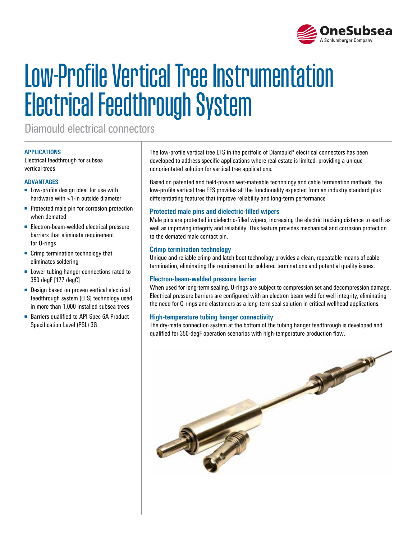

# Low-Profile Vertical Tree Instrumentation Electrical Feedthrough System

Diamould electrical connectors

#### **APPLICATIONS**

Electrical feedthrough for subsea vertical trees

#### **ADVANTAGES**

- Low-profile design ideal for use with hardware with <1-in outside diameter
- Protected male pin for corrosion protection when demated
- Electron-beam-welded electrical pressure barriers that eliminate requirement for O-rings
- Crimp termination technology that eliminates soldering
- Lower tubing hanger connections rated to 350 degF [177 degC]
- Design based on proven vertical electrical feedthrough system (EFS) technology used in more than 1,000 installed subsea trees
- Barriers qualified to API Spec 6A Product Specification Level (PSL) 3G

The low-profile vertical tree EFS in the portfolio of Diamould\* electrical connectors has been developed to address specific applications where real estate is limited, providing a unique nonorientated solution for vertical tree applications.

Based on patented and field-proven wet-mateable technology and cable termination methods, the low-profile vertical tree EFS provides all the functionality expected from an industry standard plus differentiating features that improve reliability and long-term performance

#### **Protected male pins and dielectric-filled wipers**

Male pins are protected in dielectric-filled wipers, increasing the electric tracking distance to earth as well as improving integrity and reliability. This feature provides mechanical and corrosion protection to the demated male contact pin.

#### **Crimp termination technology**

Unique and reliable crimp and latch boot technology provides a clean, repeatable means of cable termination, eliminating the requirement for soldered terminations and potential quality issues.

#### **Electron-beam-welded pressure barrier**

When used for long-term sealing, O-rings are subject to compression set and decompression damage. Electrical pressure barriers are configured with an electron beam weld for well integrity, eliminating the need for O-rings and elastomers as a long-term seal solution in critical wellhead applications.

#### **High-temperature tubing hanger connectivity**

The dry-mate connection system at the bottom of the tubing hanger feedthrough is developed and qualified for 350-degF operation scenarios with high-temperature production flow.